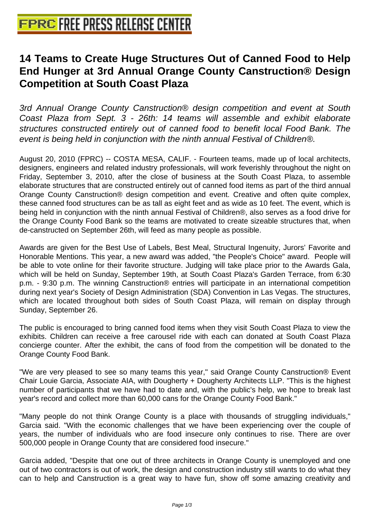## **[14 Teams to Create Huge Structur](http://www.free-press-release-center.info)es Out of Canned Food to Help End Hunger at 3rd Annual Orange County Canstruction® Design Competition at South Coast Plaza**

3rd Annual Orange County Canstruction® design competition and event at South Coast Plaza from Sept. 3 - 26th: 14 teams will assemble and exhibit elaborate structures constructed entirely out of canned food to benefit local Food Bank. The event is being held in conjunction with the ninth annual Festival of Children®.

August 20, 2010 (FPRC) -- COSTA MESA, CALIF. - Fourteen teams, made up of local architects, designers, engineers and related industry professionals, will work feverishly throughout the night on Friday, September 3, 2010, after the close of business at the South Coast Plaza, to assemble elaborate structures that are constructed entirely out of canned food items as part of the third annual Orange County Canstruction® design competition and event. Creative and often quite complex, these canned food structures can be as tall as eight feet and as wide as 10 feet. The event, which is being held in conjunction with the ninth annual Festival of Children®, also serves as a food drive for the Orange County Food Bank so the teams are motivated to create sizeable structures that, when de-canstructed on September 26th, will feed as many people as possible.

Awards are given for the Best Use of Labels, Best Meal, Structural Ingenuity, Jurors' Favorite and Honorable Mentions. This year, a new award was added, "the People's Choice" award. People will be able to vote online for their favorite structure. Judging will take place prior to the Awards Gala, which will be held on Sunday, September 19th, at South Coast Plaza's Garden Terrace, from 6:30 p.m. - 9:30 p.m. The winning Canstruction® entries will participate in an international competition during next year's Society of Design Administration (SDA) Convention in Las Vegas. The structures, which are located throughout both sides of South Coast Plaza, will remain on display through Sunday, September 26.

The public is encouraged to bring canned food items when they visit South Coast Plaza to view the exhibits. Children can receive a free carousel ride with each can donated at South Coast Plaza concierge counter. After the exhibit, the cans of food from the competition will be donated to the Orange County Food Bank.

"We are very pleased to see so many teams this year," said Orange County Canstruction® Event Chair Louie Garcia, Associate AIA, with Dougherty + Dougherty Architects LLP. "This is the highest number of participants that we have had to date and, with the public's help, we hope to break last year's record and collect more than 60,000 cans for the Orange County Food Bank."

"Many people do not think Orange County is a place with thousands of struggling individuals," Garcia said. "With the economic challenges that we have been experiencing over the couple of years, the number of individuals who are food insecure only continues to rise. There are over 500,000 people in Orange County that are considered food insecure."

Garcia added, "Despite that one out of three architects in Orange County is unemployed and one out of two contractors is out of work, the design and construction industry still wants to do what they can to help and Canstruction is a great way to have fun, show off some amazing creativity and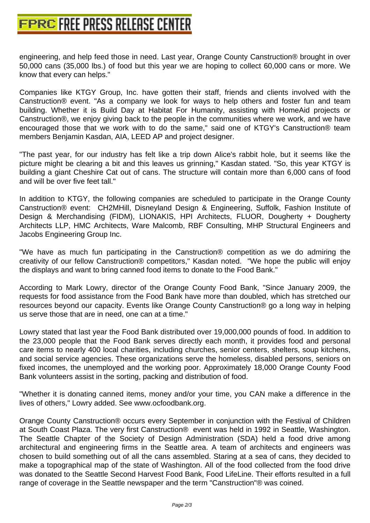Companies like KTGY Group, Inc. have gotten their staff, friends and clients involved with the Canstruction® event. "As a company we look for ways to help others and foster fun and team building. Whether it is Build Day at Habitat For Humanity, assisting with HomeAid projects or Canstruction®, we enjoy giving back to the people in the communities where we work, and we have encouraged those that we work with to do the same," said one of KTGY's Canstruction® team members Benjamin Kasdan, AIA, LEED AP and project designer.

"The past year, for our industry has felt like a trip down Alice's rabbit hole, but it seems like the picture might be clearing a bit and this leaves us grinning," Kasdan stated. "So, this year KTGY is building a giant Cheshire Cat out of cans. The structure will contain more than 6,000 cans of food and will be over five feet tall."

In addition to KTGY, the following companies are scheduled to participate in the Orange County Canstruction® event: CH2MHill, Disneyland Design & Engineering, Suffolk, Fashion Institute of Design & Merchandising (FIDM), LIONAKIS, HPI Architects, FLUOR, Dougherty + Dougherty Architects LLP, HMC Architects, Ware Malcomb, RBF Consulting, MHP Structural Engineers and Jacobs Engineering Group Inc.

"We have as much fun participating in the Canstruction® competition as we do admiring the creativity of our fellow Canstruction® competitors," Kasdan noted. "We hope the public will enjoy the displays and want to bring canned food items to donate to the Food Bank."

According to Mark Lowry, director of the Orange County Food Bank, "Since January 2009, the requests for food assistance from the Food Bank have more than doubled, which has stretched our resources beyond our capacity. Events like Orange County Canstruction® go a long way in helping us serve those that are in need, one can at a time."

Lowry stated that last year the Food Bank distributed over 19,000,000 pounds of food. In addition to the 23,000 people that the Food Bank serves directly each month, it provides food and personal care items to nearly 400 local charities, including churches, senior centers, shelters, soup kitchens, and social service agencies. These organizations serve the homeless, disabled persons, seniors on fixed incomes, the unemployed and the working poor. Approximately 18,000 Orange County Food Bank volunteers assist in the sorting, packing and distribution of food.

"Whether it is donating canned items, money and/or your time, you CAN make a difference in the lives of others," Lowry added. See www.ocfoodbank.org.

Orange County Canstruction® occurs every September in conjunction with the Festival of Children at South Coast Plaza. The very first Canstruction® event was held in 1992 in Seattle, Washington. The Seattle Chapter of the Society of Design Administration (SDA) held a food drive among architectural and engineering firms in the Seattle area. A team of architects and engineers was chosen to build something out of all the cans assembled. Staring at a sea of cans, they decided to make a topographical map of the state of Washington. All of the food collected from the food drive was donated to the Seattle Second Harvest Food Bank, Food LifeLine. Their efforts resulted in a full range of coverage in the Seattle newspaper and the term "Canstruction"® was coined.